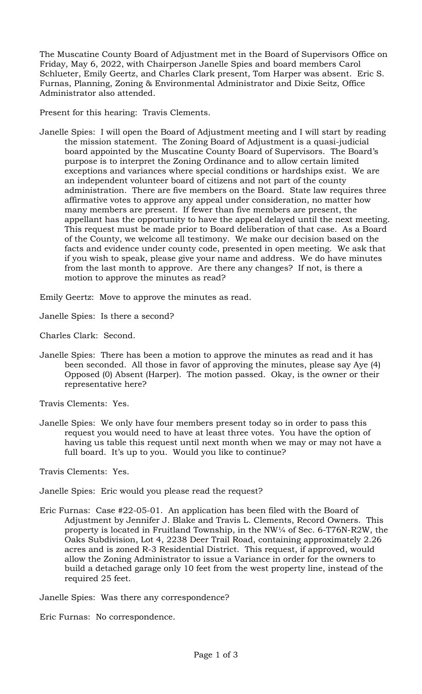The Muscatine County Board of Adjustment met in the Board of Supervisors Office on Friday, May 6, 2022, with Chairperson Janelle Spies and board members Carol Schlueter, Emily Geertz, and Charles Clark present, Tom Harper was absent. Eric S. Furnas, Planning, Zoning & Environmental Administrator and Dixie Seitz, Office Administrator also attended.

Present for this hearing: Travis Clements.

Janelle Spies: I will open the Board of Adjustment meeting and I will start by reading the mission statement. The Zoning Board of Adjustment is a quasi-judicial board appointed by the Muscatine County Board of Supervisors. The Board's purpose is to interpret the Zoning Ordinance and to allow certain limited exceptions and variances where special conditions or hardships exist. We are an independent volunteer board of citizens and not part of the county administration. There are five members on the Board. State law requires three affirmative votes to approve any appeal under consideration, no matter how many members are present. If fewer than five members are present, the appellant has the opportunity to have the appeal delayed until the next meeting. This request must be made prior to Board deliberation of that case. As a Board of the County, we welcome all testimony. We make our decision based on the facts and evidence under county code, presented in open meeting. We ask that if you wish to speak, please give your name and address. We do have minutes from the last month to approve. Are there any changes? If not, is there a motion to approve the minutes as read?

Emily Geertz: Move to approve the minutes as read.

Janelle Spies: Is there a second?

Charles Clark: Second.

Janelle Spies: There has been a motion to approve the minutes as read and it has been seconded. All those in favor of approving the minutes, please say Aye (4) Opposed (0) Absent (Harper). The motion passed. Okay, is the owner or their representative here?

Travis Clements: Yes.

Janelle Spies: We only have four members present today so in order to pass this request you would need to have at least three votes. You have the option of having us table this request until next month when we may or may not have a full board. It's up to you. Would you like to continue?

Travis Clements: Yes.

Janelle Spies: Eric would you please read the request?

Eric Furnas: Case #22-05-01. An application has been filed with the Board of Adjustment by Jennifer J. Blake and Travis L. Clements, Record Owners. This property is located in Fruitland Township, in the NW¼ of Sec. 6-T76N-R2W, the Oaks Subdivision, Lot 4, 2238 Deer Trail Road, containing approximately 2.26 acres and is zoned R-3 Residential District. This request, if approved, would allow the Zoning Administrator to issue a Variance in order for the owners to build a detached garage only 10 feet from the west property line, instead of the required 25 feet.

Janelle Spies: Was there any correspondence?

Eric Furnas: No correspondence.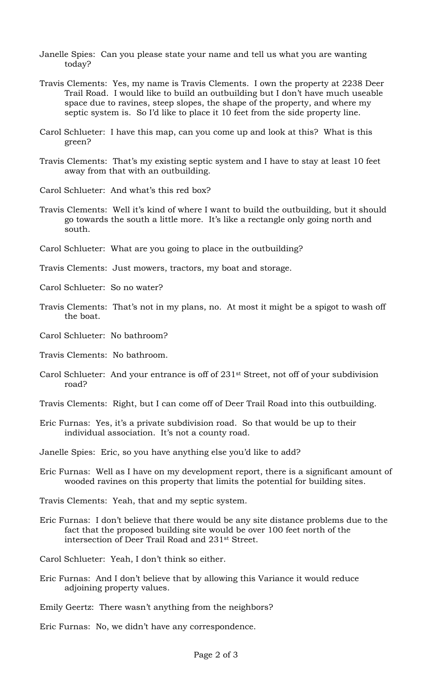- Janelle Spies: Can you please state your name and tell us what you are wanting today?
- Travis Clements: Yes, my name is Travis Clements. I own the property at 2238 Deer Trail Road. I would like to build an outbuilding but I don't have much useable space due to ravines, steep slopes, the shape of the property, and where my septic system is. So I'd like to place it 10 feet from the side property line.
- Carol Schlueter: I have this map, can you come up and look at this? What is this green?
- Travis Clements: That's my existing septic system and I have to stay at least 10 feet away from that with an outbuilding.
- Carol Schlueter: And what's this red box?
- Travis Clements: Well it's kind of where I want to build the outbuilding, but it should go towards the south a little more. It's like a rectangle only going north and south.
- Carol Schlueter: What are you going to place in the outbuilding?
- Travis Clements: Just mowers, tractors, my boat and storage.
- Carol Schlueter: So no water?
- Travis Clements: That's not in my plans, no. At most it might be a spigot to wash off the boat.
- Carol Schlueter: No bathroom?
- Travis Clements: No bathroom.
- Carol Schlueter: And your entrance is off of 231st Street, not off of your subdivision road?
- Travis Clements: Right, but I can come off of Deer Trail Road into this outbuilding.
- Eric Furnas: Yes, it's a private subdivision road. So that would be up to their individual association. It's not a county road.
- Janelle Spies: Eric, so you have anything else you'd like to add?
- Eric Furnas: Well as I have on my development report, there is a significant amount of wooded ravines on this property that limits the potential for building sites.
- Travis Clements: Yeah, that and my septic system.
- Eric Furnas: I don't believe that there would be any site distance problems due to the fact that the proposed building site would be over 100 feet north of the intersection of Deer Trail Road and 231st Street.
- Carol Schlueter: Yeah, I don't think so either.
- Eric Furnas: And I don't believe that by allowing this Variance it would reduce adjoining property values.
- Emily Geertz: There wasn't anything from the neighbors?
- Eric Furnas: No, we didn't have any correspondence.